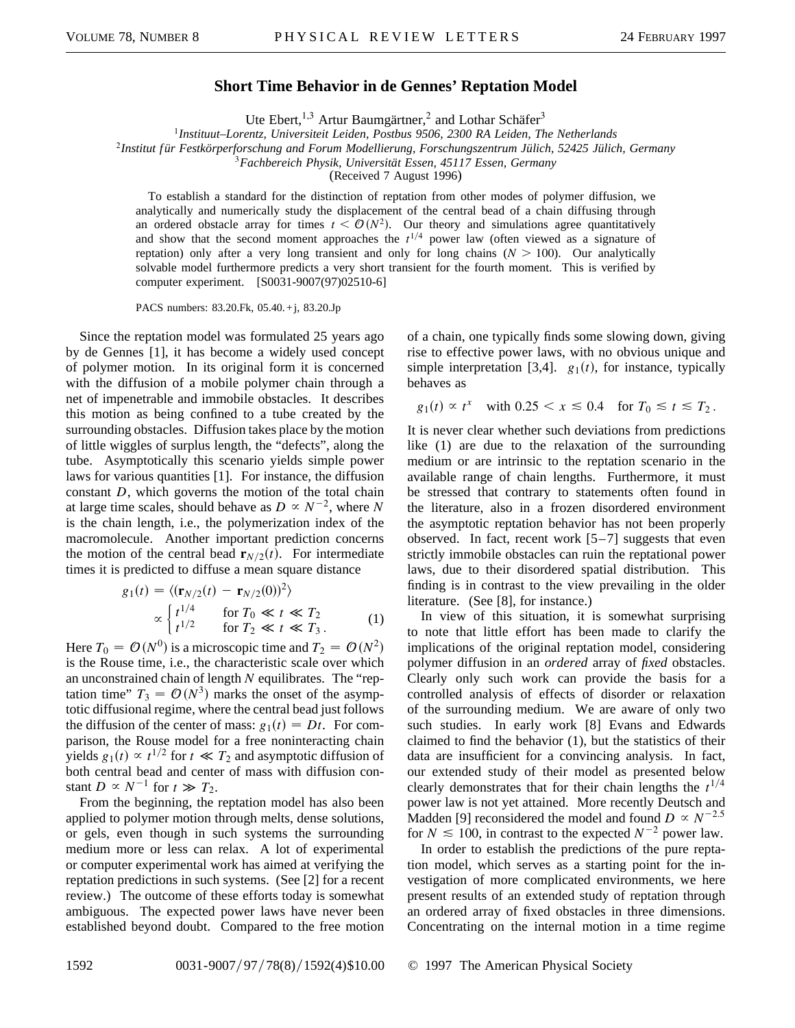## **Short Time Behavior in de Gennes' Reptation Model**

Ute Ebert,<sup>1,3</sup> Artur Baumgärtner,<sup>2</sup> and Lothar Schäfer<sup>3</sup>

<sup>1</sup>*Instituut–Lorentz, Universiteit Leiden, Postbus 9506, 2300 RA Leiden, The Netherlands*

<sup>2</sup>*Institut f ür Festkörperforschung and Forum Modellierung, Forschungszentrum Jülich, 52425 Jülich, Germany*

<sup>3</sup>*Fachbereich Physik, Universität Essen, 45117 Essen, Germany*

(Received 7 August 1996)

To establish a standard for the distinction of reptation from other modes of polymer diffusion, we analytically and numerically study the displacement of the central bead of a chain diffusing through an ordered obstacle array for times  $t < O(N^2)$ . Our theory and simulations agree quantitatively and show that the second moment approaches the  $t^{1/4}$  power law (often viewed as a signature of reptation) only after a very long transient and only for long chains  $(N > 100)$ . Our analytically solvable model furthermore predicts a very short transient for the fourth moment. This is verified by computer experiment. [S0031-9007(97)02510-6]

PACS numbers: 83.20.Fk, 05.40. +j, 83.20.Jp

Since the reptation model was formulated 25 years ago by de Gennes [1], it has become a widely used concept of polymer motion. In its original form it is concerned with the diffusion of a mobile polymer chain through a net of impenetrable and immobile obstacles. It describes this motion as being confined to a tube created by the surrounding obstacles. Diffusion takes place by the motion of little wiggles of surplus length, the "defects", along the tube. Asymptotically this scenario yields simple power laws for various quantities [1]. For instance, the diffusion constant *D*, which governs the motion of the total chain at large time scales, should behave as  $D \propto N^{-2}$ , where *N* is the chain length, i.e., the polymerization index of the macromolecule. Another important prediction concerns the motion of the central bead  $\mathbf{r}_{N/2}(t)$ . For intermediate times it is predicted to diffuse a mean square distance

$$
g_1(t) = \langle (\mathbf{r}_{N/2}(t) - \mathbf{r}_{N/2}(0))^2 \rangle
$$
  
 
$$
\propto \begin{cases} t^{1/4} & \text{for } T_0 \ll t \ll T_2 \\ t^{1/2} & \text{for } T_2 \ll t \ll T_3. \end{cases}
$$
 (1)

Here  $T_0 = \mathcal{O}(N^0)$  is a microscopic time and  $T_2 = \mathcal{O}(N^2)$ is the Rouse time, i.e., the characteristic scale over which an unconstrained chain of length *N* equilibrates. The "reptation time"  $T_3 = \mathcal{O}(N^3)$  marks the onset of the asymptotic diffusional regime, where the central bead just follows the diffusion of the center of mass:  $g_1(t) = Dt$ . For comparison, the Rouse model for a free noninteracting chain yields  $g_1(t) \propto t^{1/2}$  for  $t \ll T_2$  and asymptotic diffusion of both central bead and center of mass with diffusion constant  $D \propto N^{-1}$  for  $t \gg T_2$ .

From the beginning, the reptation model has also been applied to polymer motion through melts, dense solutions, or gels, even though in such systems the surrounding medium more or less can relax. A lot of experimental or computer experimental work has aimed at verifying the reptation predictions in such systems. (See [2] for a recent review.) The outcome of these efforts today is somewhat ambiguous. The expected power laws have never been established beyond doubt. Compared to the free motion

of a chain, one typically finds some slowing down, giving rise to effective power laws, with no obvious unique and simple interpretation [3,4].  $g_1(t)$ , for instance, typically behaves as

$$
g_1(t) \propto t^x \quad \text{with } 0.25 < x \le 0.4 \quad \text{for } T_0 \le t \le T_2 \, .
$$

It is never clear whether such deviations from predictions like (1) are due to the relaxation of the surrounding medium or are intrinsic to the reptation scenario in the available range of chain lengths. Furthermore, it must be stressed that contrary to statements often found in the literature, also in a frozen disordered environment the asymptotic reptation behavior has not been properly observed. In fact, recent work [5–7] suggests that even strictly immobile obstacles can ruin the reptational power laws, due to their disordered spatial distribution. This finding is in contrast to the view prevailing in the older literature. (See [8], for instance.)

In view of this situation, it is somewhat surprising to note that little effort has been made to clarify the implications of the original reptation model, considering polymer diffusion in an *ordered* array of *fixed* obstacles. Clearly only such work can provide the basis for a controlled analysis of effects of disorder or relaxation of the surrounding medium. We are aware of only two such studies. In early work [8] Evans and Edwards claimed to find the behavior (1), but the statistics of their data are insufficient for a convincing analysis. In fact, our extended study of their model as presented below clearly demonstrates that for their chain lengths the  $t^{1/4}$ power law is not yet attained. More recently Deutsch and Madden [9] reconsidered the model and found  $D \propto N^{-2.5}$ for  $N \le 100$ , in contrast to the expected  $N^{-2}$  power law.

In order to establish the predictions of the pure reptation model, which serves as a starting point for the investigation of more complicated environments, we here present results of an extended study of reptation through an ordered array of fixed obstacles in three dimensions. Concentrating on the internal motion in a time regime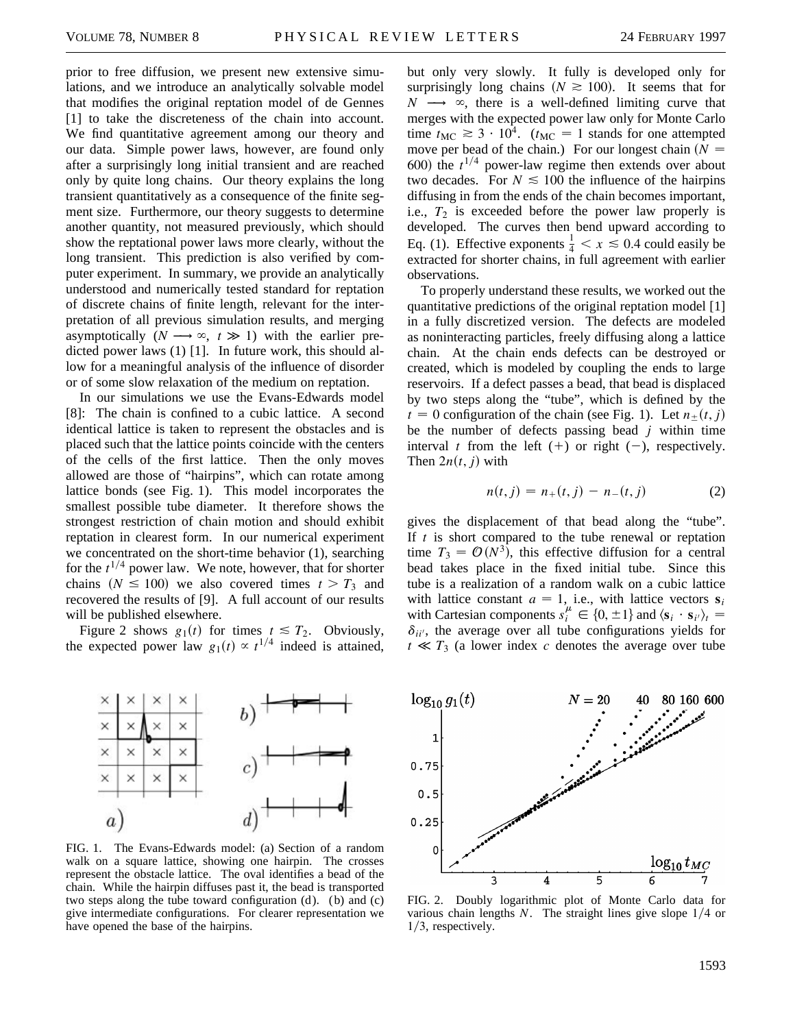prior to free diffusion, we present new extensive simulations, and we introduce an analytically solvable model that modifies the original reptation model of de Gennes [1] to take the discreteness of the chain into account. We find quantitative agreement among our theory and our data. Simple power laws, however, are found only after a surprisingly long initial transient and are reached only by quite long chains. Our theory explains the long transient quantitatively as a consequence of the finite segment size. Furthermore, our theory suggests to determine another quantity, not measured previously, which should show the reptational power laws more clearly, without the long transient. This prediction is also verified by computer experiment. In summary, we provide an analytically understood and numerically tested standard for reptation of discrete chains of finite length, relevant for the interpretation of all previous simulation results, and merging asymptotically  $(N \rightarrow \infty, t \gg 1)$  with the earlier predicted power laws (1) [1]. In future work, this should allow for a meaningful analysis of the influence of disorder or of some slow relaxation of the medium on reptation.

In our simulations we use the Evans-Edwards model [8]: The chain is confined to a cubic lattice. A second identical lattice is taken to represent the obstacles and is placed such that the lattice points coincide with the centers of the cells of the first lattice. Then the only moves allowed are those of "hairpins", which can rotate among lattice bonds (see Fig. 1). This model incorporates the smallest possible tube diameter. It therefore shows the strongest restriction of chain motion and should exhibit reptation in clearest form. In our numerical experiment we concentrated on the short-time behavior (1), searching for the  $t^{1/4}$  power law. We note, however, that for shorter chains  $(N \le 100)$  we also covered times  $t > T_3$  and recovered the results of [9]. A full account of our results will be published elsewhere.

Figure 2 shows  $g_1(t)$  for times  $t \leq T_2$ . Obviously, the expected power law  $g_1(t) \propto t^{1/4}$  indeed is attained,



FIG. 1. The Evans-Edwards model: (a) Section of a random walk on a square lattice, showing one hairpin. The crosses represent the obstacle lattice. The oval identifies a bead of the chain. While the hairpin diffuses past it, the bead is transported two steps along the tube toward configuration  $(d)$ . (b) and  $(c)$ give intermediate configurations. For clearer representation we have opened the base of the hairpins.

but only very slowly. It fully is developed only for surprisingly long chains  $(N \ge 100)$ . It seems that for  $N \longrightarrow \infty$ , there is a well-defined limiting curve that merges with the expected power law only for Monte Carlo time  $t_{MC} \geq 3 \cdot 10^4$ . ( $t_{MC} = 1$  stands for one attempted move per bead of the chain.) For our longest chain  $(N =$ 600) the  $t^{1/4}$  power-law regime then extends over about two decades. For  $N \le 100$  the influence of the hairpins diffusing in from the ends of the chain becomes important, i.e.,  $T_2$  is exceeded before the power law properly is developed. The curves then bend upward according to Eq. (1). Effective exponents  $\frac{1}{4} < x \le 0.4$  could easily be extracted for shorter chains, in full agreement with earlier observations.

To properly understand these results, we worked out the quantitative predictions of the original reptation model [1] in a fully discretized version. The defects are modeled as noninteracting particles, freely diffusing along a lattice chain. At the chain ends defects can be destroyed or created, which is modeled by coupling the ends to large reservoirs. If a defect passes a bead, that bead is displaced by two steps along the "tube", which is defined by the  $t = 0$  configuration of the chain (see Fig. 1). Let  $n+(t, j)$ be the number of defects passing bead *j* within time interval *t* from the left  $(+)$  or right  $(-)$ , respectively. Then  $2n(t, j)$  with

$$
n(t, j) = n_{+}(t, j) - n_{-}(t, j)
$$
 (2)

gives the displacement of that bead along the "tube". If *t* is short compared to the tube renewal or reptation time  $T_3 = \mathcal{O}(N^3)$ , this effective diffusion for a central bead takes place in the fixed initial tube. Since this tube is a realization of a random walk on a cubic lattice with lattice constant  $a = 1$ , i.e., with lattice vectors  $s_i$ with Cartesian components  $s_i^{\mu} \in \{0, \pm 1\}$  and  $\langle s_i \cdot s_{i'} \rangle_t =$  $\delta_{ii'}$ , the average over all tube configurations yields for  $t \ll T_3$  (a lower index *c* denotes the average over tube



FIG. 2. Doubly logarithmic plot of Monte Carlo data for various chain lengths  $N$ . The straight lines give slope  $1/4$  or  $1/3$ , respectively.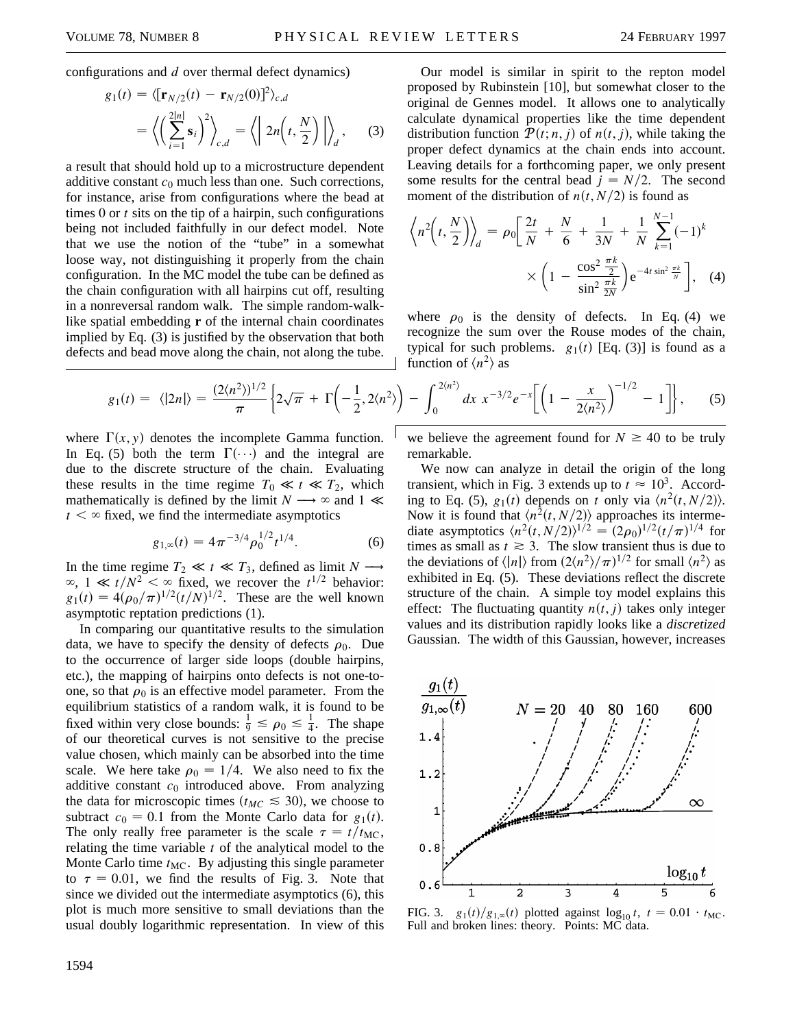configurations and *d* over thermal defect dynamics)

$$
g_1(t) = \langle \left[\mathbf{r}_{N/2}(t) - \mathbf{r}_{N/2}(0)\right]^2 \rangle_{c,d}
$$
  
= 
$$
\langle \left(\sum_{i=1}^{2|n|} \mathbf{s}_i\right)^2 \rangle_{c,d} = \langle \left| 2n\left(t, \frac{N}{2}\right) \right| \rangle_d,
$$
 (3)

a result that should hold up to a microstructure dependent additive constant  $c_0$  much less than one. Such corrections, for instance, arise from configurations where the bead at times 0 or *t* sits on the tip of a hairpin, such configurations being not included faithfully in our defect model. Note that we use the notion of the "tube" in a somewhat loose way, not distinguishing it properly from the chain configuration. In the MC model the tube can be defined as the chain configuration with all hairpins cut off, resulting in a nonreversal random walk. The simple random-walklike spatial embedding **r** of the internal chain coordinates implied by Eq. (3) is justified by the observation that both defects and bead move along the chain, not along the tube.

Our model is similar in spirit to the repton model proposed by Rubinstein [10], but somewhat closer to the original de Gennes model. It allows one to analytically calculate dynamical properties like the time dependent distribution function  $P(t; n, j)$  of  $n(t, j)$ , while taking the proper defect dynamics at the chain ends into account. Leaving details for a forthcoming paper, we only present some results for the central bead  $j = N/2$ . The second moment of the distribution of  $n(t, N/2)$  is found as

$$
\left\langle n^2 \left( t, \frac{N}{2} \right) \right\rangle_d = \rho_0 \left[ \frac{2t}{N} + \frac{N}{6} + \frac{1}{3N} + \frac{1}{N} \sum_{k=1}^{N-1} (-1)^k \right] \times \left( 1 - \frac{\cos^2 \frac{\pi k}{2}}{\sin^2 \frac{\pi k}{2N}} \right) e^{-4t \sin^2 \frac{\pi k}{N}} \right], \quad (4)
$$

where  $\rho_0$  is the density of defects. In Eq. (4) we recognize the sum over the Rouse modes of the chain, typical for such problems.  $g_1(t)$  [Eq. (3)] is found as a function of  $\langle n^2 \rangle$  as

$$
g_1(t) = \langle |2n| \rangle = \frac{(2\langle n^2 \rangle)^{1/2}}{\pi} \left\{ 2\sqrt{\pi} + \Gamma \left( -\frac{1}{2}, 2\langle n^2 \rangle \right) - \int_0^{2\langle n^2 \rangle} dx \ x^{-3/2} e^{-x} \left[ \left( 1 - \frac{x}{2\langle n^2 \rangle} \right)^{-1/2} - 1 \right] \right\}, \tag{5}
$$

where  $\Gamma(x, y)$  denotes the incomplete Gamma function. In Eq. (5) both the term  $\Gamma(\cdot\cdot\cdot)$  and the integral are due to the discrete structure of the chain. Evaluating these results in the time regime  $T_0 \ll t \ll T_2$ , which mathematically is defined by the limit  $N \longrightarrow \infty$  and 1  $\ll$  $t < \infty$  fixed, we find the intermediate asymptotics

$$
g_{1,\infty}(t) = 4\pi^{-3/4} \rho_0^{1/2} t^{1/4}.
$$
 (6)

In the time regime  $T_2 \ll t \ll T_3$ , defined as limit  $N \rightarrow$  $\infty$ , 1  $\ll t/N^2$  <  $\infty$  fixed, we recover the *t*<sup>1/2</sup> behavior:  $g_1(t) = 4(\rho_0/\pi)^{1/2}(t/N)^{1/2}$ . These are the well known asymptotic reptation predictions (1).

In comparing our quantitative results to the simulation data, we have to specify the density of defects  $\rho_0$ . Due to the occurrence of larger side loops (double hairpins, etc.), the mapping of hairpins onto defects is not one-toone, so that  $\rho_0$  is an effective model parameter. From the equilibrium statistics of a random walk, it is found to be fixed within very close bounds:  $\frac{1}{9} \le \rho_0 \le \frac{1}{4}$ . The shape of our theoretical curves is not sensitive to the precise value chosen, which mainly can be absorbed into the time scale. We here take  $\rho_0 = 1/4$ . We also need to fix the additive constant  $c_0$  introduced above. From analyzing the data for microscopic times ( $t_{MC} \leq 30$ ), we choose to subtract  $c_0 = 0.1$  from the Monte Carlo data for  $g_1(t)$ . The only really free parameter is the scale  $\tau = t/t_{MC}$ , relating the time variable *t* of the analytical model to the Monte Carlo time  $t_{MC}$ . By adjusting this single parameter to  $\tau = 0.01$ , we find the results of Fig. 3. Note that since we divided out the intermediate asymptotics (6), this plot is much more sensitive to small deviations than the usual doubly logarithmic representation. In view of this

1594

we believe the agreement found for  $N \geq 40$  to be truly remarkable.

We now can analyze in detail the origin of the long transient, which in Fig. 3 extends up to  $t \approx 10^3$ . According to Eq. (5),  $g_1(t)$  depends on *t* only via  $\langle n^2(t, N/2) \rangle$ . Now it is found that  $\langle n^2(t, N/2) \rangle$  approaches its intermediate asymptotics  $\langle n^2(t, N/2) \rangle^{1/2} = (2\rho_0)^{1/2} (t/\pi)^{1/4}$  for times as small as  $t \geq 3$ . The slow transient thus is due to the deviations of  $\langle |n| \rangle$  from  $(2\langle n^2 \rangle / \pi)^{1/2}$  for small  $\langle n^2 \rangle$  as exhibited in Eq. (5). These deviations reflect the discrete structure of the chain. A simple toy model explains this effect: The fluctuating quantity  $n(t, j)$  takes only integer values and its distribution rapidly looks like a *discretized* Gaussian. The width of this Gaussian, however, increases



FIG. 3.  $g_1(t)/g_{1,\infty}(t)$  plotted against  $\log_{10} t, t = 0.01 \cdot t_{\text{MC}}$ . Full and broken lines: theory. Points: MC data.